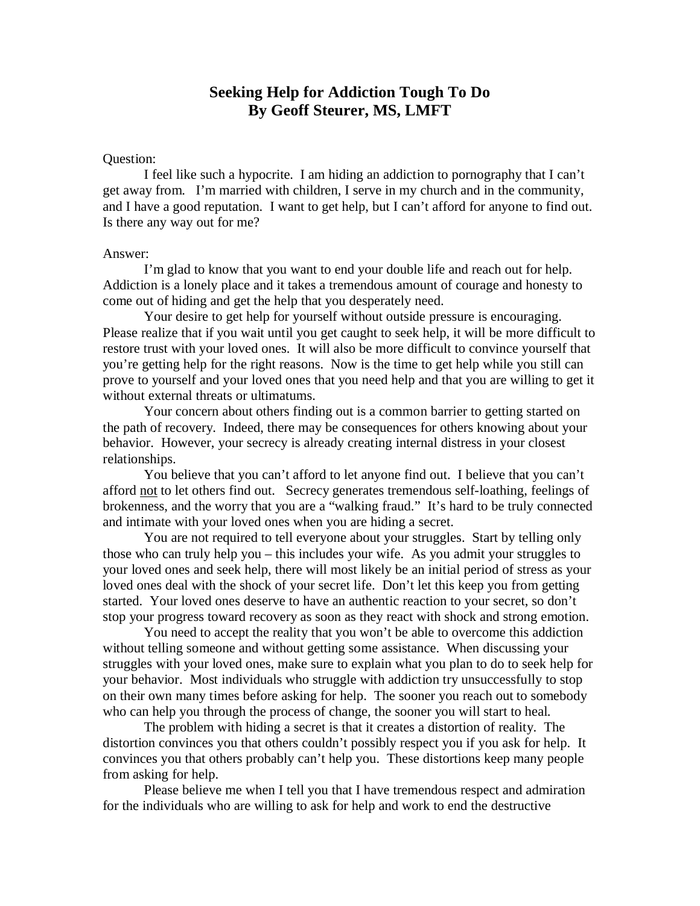# **Seeking Help for Addiction Tough To Do By Geoff Steurer, MS, LMFT**

## Question:

I feel like such a hypocrite. I am hiding an addiction to pornography that I can't get away from. I'm married with children, I serve in my church and in the community, and I have a good reputation. I want to get help, but I can't afford for anyone to find out. Is there any way out for me?

#### Answer:

I'm glad to know that you want to end your double life and reach out for help. Addiction is a lonely place and it takes a tremendous amount of courage and honesty to come out of hiding and get the help that you desperately need.

Your desire to get help for yourself without outside pressure is encouraging. Please realize that if you wait until you get caught to seek help, it will be more difficult to restore trust with your loved ones. It will also be more difficult to convince yourself that you're getting help for the right reasons. Now is the time to get help while you still can prove to yourself and your loved ones that you need help and that you are willing to get it without external threats or ultimatums.

Your concern about others finding out is a common barrier to getting started on the path of recovery. Indeed, there may be consequences for others knowing about your behavior. However, your secrecy is already creating internal distress in your closest relationships.

You believe that you can't afford to let anyone find out. I believe that you can't afford not to let others find out. Secrecy generates tremendous self-loathing, feelings of brokenness, and the worry that you are a "walking fraud." It's hard to be truly connected and intimate with your loved ones when you are hiding a secret.

You are not required to tell everyone about your struggles. Start by telling only those who can truly help you – this includes your wife. As you admit your struggles to your loved ones and seek help, there will most likely be an initial period of stress as your loved ones deal with the shock of your secret life. Don't let this keep you from getting started. Your loved ones deserve to have an authentic reaction to your secret, so don't stop your progress toward recovery as soon as they react with shock and strong emotion.

You need to accept the reality that you won't be able to overcome this addiction without telling someone and without getting some assistance. When discussing your struggles with your loved ones, make sure to explain what you plan to do to seek help for your behavior. Most individuals who struggle with addiction try unsuccessfully to stop on their own many times before asking for help. The sooner you reach out to somebody who can help you through the process of change, the sooner you will start to heal.

The problem with hiding a secret is that it creates a distortion of reality. The distortion convinces you that others couldn't possibly respect you if you ask for help. It convinces you that others probably can't help you. These distortions keep many people from asking for help.

Please believe me when I tell you that I have tremendous respect and admiration for the individuals who are willing to ask for help and work to end the destructive